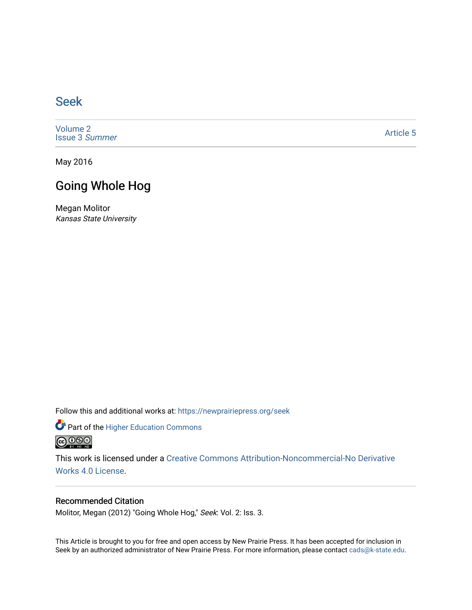## [Seek](https://newprairiepress.org/seek)

[Volume 2](https://newprairiepress.org/seek/vol2) [Issue 3](https://newprairiepress.org/seek/vol2/iss3) Summer

[Article 5](https://newprairiepress.org/seek/vol2/iss3/5) 

May 2016

## Going Whole Hog

Megan Molitor Kansas State University

Follow this and additional works at: [https://newprairiepress.org/seek](https://newprairiepress.org/seek?utm_source=newprairiepress.org%2Fseek%2Fvol2%2Fiss3%2F5&utm_medium=PDF&utm_campaign=PDFCoverPages)

Part of the [Higher Education Commons](http://network.bepress.com/hgg/discipline/1245?utm_source=newprairiepress.org%2Fseek%2Fvol2%2Fiss3%2F5&utm_medium=PDF&utm_campaign=PDFCoverPages) 



This work is licensed under a [Creative Commons Attribution-Noncommercial-No Derivative](https://creativecommons.org/licenses/by-nc-nd/4.0/)  [Works 4.0 License](https://creativecommons.org/licenses/by-nc-nd/4.0/).

## Recommended Citation

Molitor, Megan (2012) "Going Whole Hog," Seek: Vol. 2: Iss. 3.

This Article is brought to you for free and open access by New Prairie Press. It has been accepted for inclusion in Seek by an authorized administrator of New Prairie Press. For more information, please contact [cads@k-state.edu](mailto:cads@k-state.edu).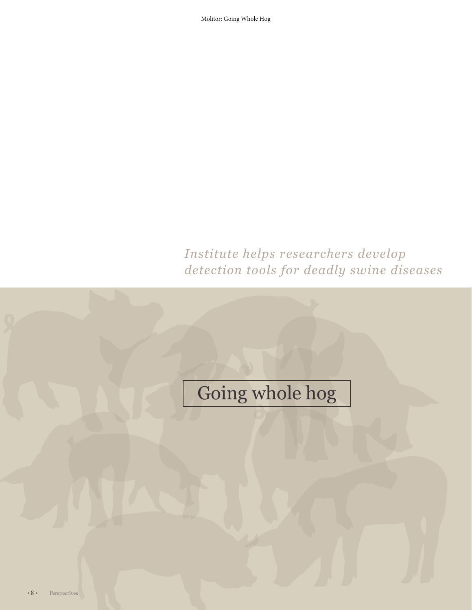Molitor: Going Whole Hog

## *Institute helps researchers develop detection tools for deadly swine diseases*